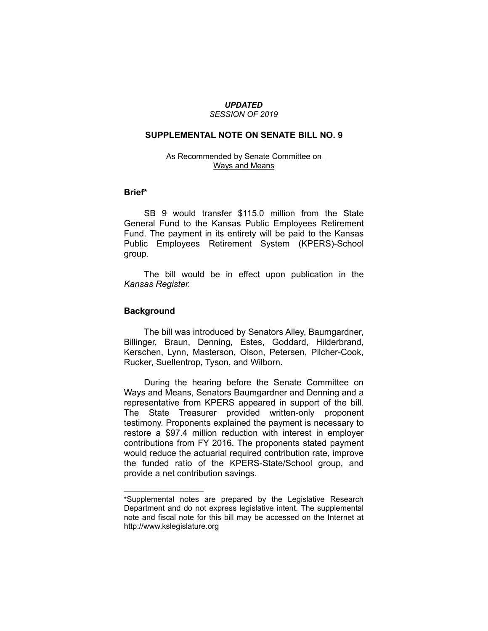#### *UPDATED SESSION OF 2019*

## **SUPPLEMENTAL NOTE ON SENATE BILL NO. 9**

# As Recommended by Senate Committee on Ways and Means

# **Brief\***

SB 9 would transfer \$115.0 million from the State General Fund to the Kansas Public Employees Retirement Fund. The payment in its entirety will be paid to the Kansas Public Employees Retirement System (KPERS)-School group.

The bill would be in effect upon publication in the *Kansas Register.*

#### **Background**

 $\overline{\phantom{a}}$  , where  $\overline{\phantom{a}}$ 

The bill was introduced by Senators Alley, Baumgardner, Billinger, Braun, Denning, Estes, Goddard, Hilderbrand, Kerschen, Lynn, Masterson, Olson, Petersen, Pilcher-Cook, Rucker, Suellentrop, Tyson, and Wilborn.

During the hearing before the Senate Committee on Ways and Means, Senators Baumgardner and Denning and a representative from KPERS appeared in support of the bill. The State Treasurer provided written-only proponent testimony. Proponents explained the payment is necessary to restore a \$97.4 million reduction with interest in employer contributions from FY 2016. The proponents stated payment would reduce the actuarial required contribution rate, improve the funded ratio of the KPERS-State/School group, and provide a net contribution savings.

<sup>\*</sup>Supplemental notes are prepared by the Legislative Research Department and do not express legislative intent. The supplemental note and fiscal note for this bill may be accessed on the Internet at http://www.kslegislature.org